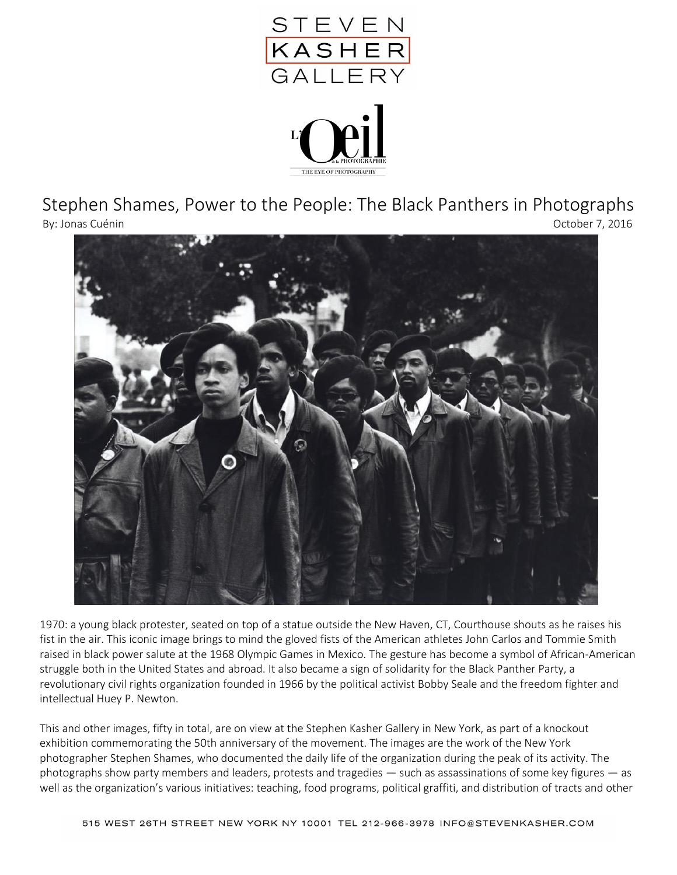

Stephen Shames, Power to the People: The Black Panthers in Photographs By: Jonas Cuénin October 7, 2016



1970: a young black protester, seated on top of a statue outside the New Haven, CT, Courthouse shouts as he raises his fist in the air. This iconic image brings to mind the gloved fists of the American athletes John Carlos and Tommie Smith raised in black power salute at the 1968 Olympic Games in Mexico. The gesture has become a symbol of African-American struggle both in the United States and abroad. It also became a sign of solidarity for the Black Panther Party, a revolutionary civil rights organization founded in 1966 by the political activist Bobby Seale and the freedom fighter and intellectual Huey P. Newton.

This and other images, fifty in total, are on view at the Stephen Kasher Gallery in New York, as part of a knockout exhibition commemorating the 50th anniversary of the movement. The images are the work of the New York photographer Stephen Shames, who documented the daily life of the organization during the peak of its activity. The photographs show party members and leaders, protests and tragedies — such as assassinations of some key figures — as well as the organization's various initiatives: teaching, food programs, political graffiti, and distribution of tracts and other